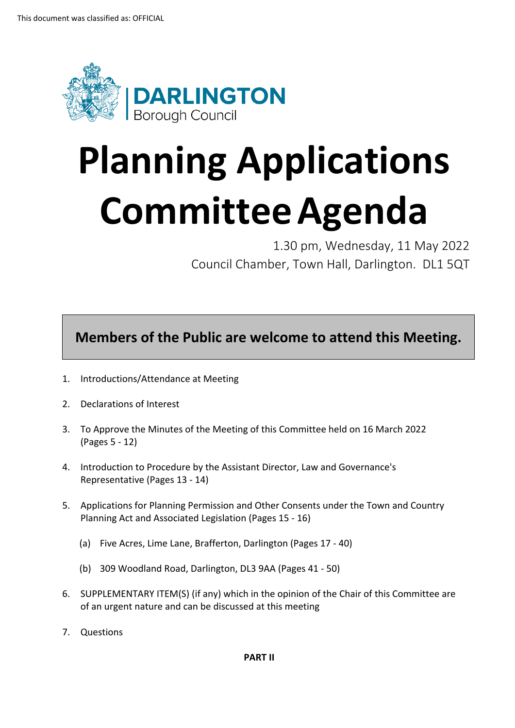

## **Planning Applications CommitteeAgenda**

1.30 pm, Wednesday, 11 May 2022 Council Chamber, Town Hall, Darlington. DL1 5QT

**Members of the Public are welcome to attend this Meeting.**

- 1. Introductions/Attendance at Meeting
- 2. Declarations of Interest
- 3. To Approve the Minutes of the Meeting of this Committee held on 16 March 2022 (Pages 5 - 12)
- 4. Introduction to Procedure by the Assistant Director, Law and Governance's Representative (Pages 13 - 14)
- 5. Applications for Planning Permission and Other Consents under the Town and Country Planning Act and Associated Legislation (Pages 15 - 16)
	- (a) Five Acres, Lime Lane, Brafferton, Darlington (Pages 17 40)
	- (b) 309 Woodland Road, Darlington, DL3 9AA (Pages 41 50)
- 6. SUPPLEMENTARY ITEM(S) (if any) which in the opinion of the Chair of this Committee are of an urgent nature and can be discussed at this meeting
- 7. Questions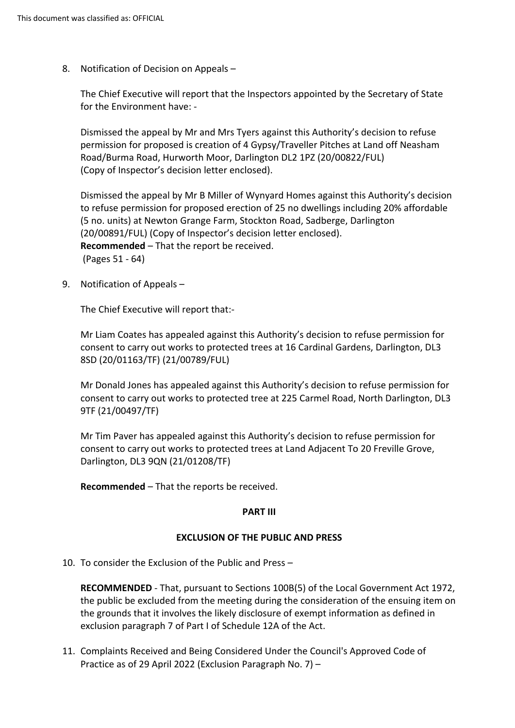8. Notification of Decision on Appeals –

The Chief Executive will report that the Inspectors appointed by the Secretary of State for the Environment have: -

Dismissed the appeal by Mr and Mrs Tyers against this Authority's decision to refuse permission for proposed is creation of 4 Gypsy/Traveller Pitches at Land off Neasham Road/Burma Road, Hurworth Moor, Darlington DL2 1PZ (20/00822/FUL) (Copy of Inspector's decision letter enclosed).

Dismissed the appeal by Mr B Miller of Wynyard Homes against this Authority's decision to refuse permission for proposed erection of 25 no dwellings including 20% affordable (5 no. units) at Newton Grange Farm, Stockton Road, Sadberge, Darlington (20/00891/FUL) (Copy of Inspector's decision letter enclosed). **Recommended** – That the report be received. (Pages 51 - 64)

9. Notification of Appeals –

The Chief Executive will report that:-

Mr Liam Coates has appealed against this Authority's decision to refuse permission for consent to carry out works to protected trees at 16 Cardinal Gardens, Darlington, DL3 8SD (20/01163/TF) (21/00789/FUL)

Mr Donald Jones has appealed against this Authority's decision to refuse permission for consent to carry out works to protected tree at 225 Carmel Road, North Darlington, DL3 9TF (21/00497/TF)

Mr Tim Paver has appealed against this Authority's decision to refuse permission for consent to carry out works to protected trees at Land Adjacent To 20 Freville Grove, Darlington, DL3 9QN (21/01208/TF)

**Recommended** – That the reports be received.

## **PART III**

## **EXCLUSION OF THE PUBLIC AND PRESS**

10. To consider the Exclusion of the Public and Press –

**RECOMMENDED** - That, pursuant to Sections 100B(5) of the Local Government Act 1972, the public be excluded from the meeting during the consideration of the ensuing item on the grounds that it involves the likely disclosure of exempt information as defined in exclusion paragraph 7 of Part I of Schedule 12A of the Act.

11. Complaints Received and Being Considered Under the Council's Approved Code of Practice as of 29 April 2022 (Exclusion Paragraph No. 7) –